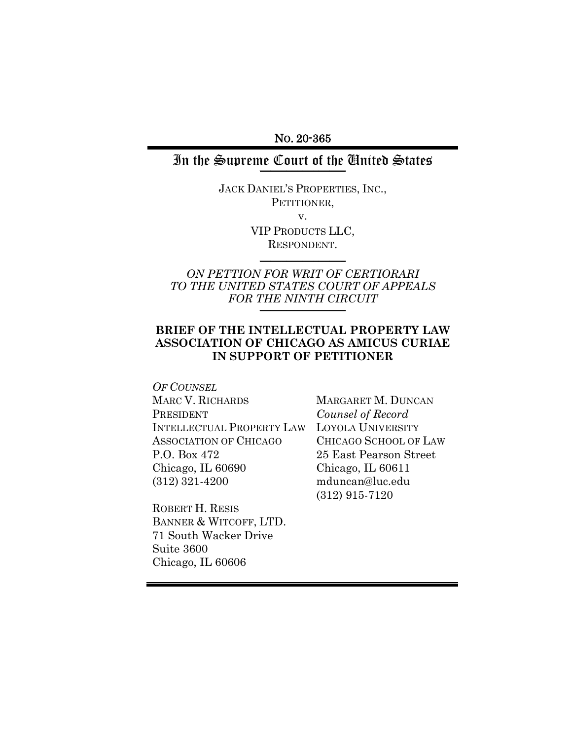NO. 20-365

## In the Supreme Court of the United States

JACK DANIEL'S PROPERTIES, INC., PETITIONER, v. VIP PRODUCTS LLC,

RESPONDENT.  $\frac{1}{2}$ 

# *ON PETTION FOR WRIT OF CERTIORARI TO THE UNITED STATES COURT OF APPEALS FOR THE NINTH CIRCUIT* \_\_\_\_\_\_\_\_\_\_\_\_\_\_\_\_

### **BRIEF OF THE INTELLECTUAL PROPERTY LAW ASSOCIATION OF CHICAGO AS AMICUS CURIAE IN SUPPORT OF PETITIONER**

*OF COUNSEL* MARC V. RICHARDS PRESIDENT INTELLECTUAL PROPERTY LAW ASSOCIATION OF CHICAGO P.O. Box 472 Chicago, IL 60690 (312) 321-4200

MARGARET M. DUNCAN *Counsel of Record* LOYOLA UNIVERSITY CHICAGO SCHOOL OF LAW 25 East Pearson Street Chicago, IL 60611 mduncan@luc.edu (312) 915-7120

ROBERT H. RESIS BANNER & WITCOFF, LTD. 71 South Wacker Drive Suite 3600 Chicago, IL 60606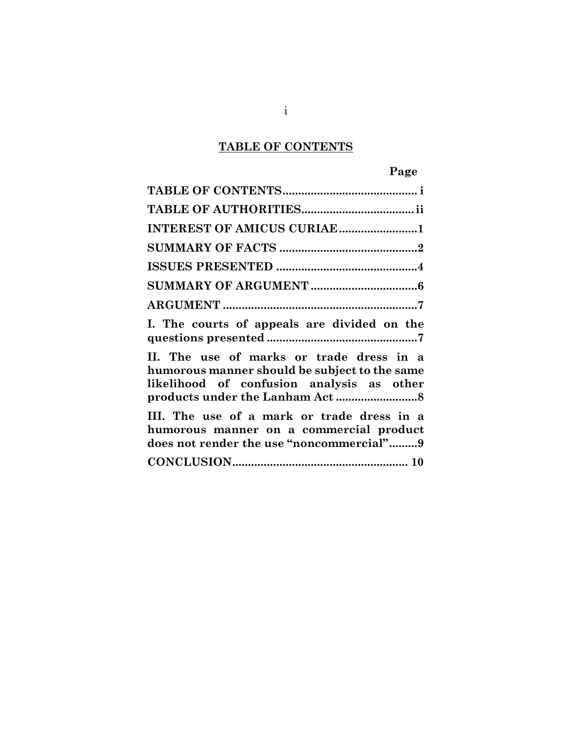# **TABLE OF CONTENTS**

<span id="page-1-0"></span>

| INTEREST OF AMICUS CURIAE 1                                                                                                            |
|----------------------------------------------------------------------------------------------------------------------------------------|
|                                                                                                                                        |
|                                                                                                                                        |
|                                                                                                                                        |
|                                                                                                                                        |
| I. The courts of appeals are divided on the                                                                                            |
| II. The use of marks or trade dress in a<br>humorous manner should be subject to the same<br>likelihood of confusion analysis as other |
| III. The use of a mark or trade dress in a<br>humorous manner on a commercial product<br>does not render the use "noncommercial"9      |
|                                                                                                                                        |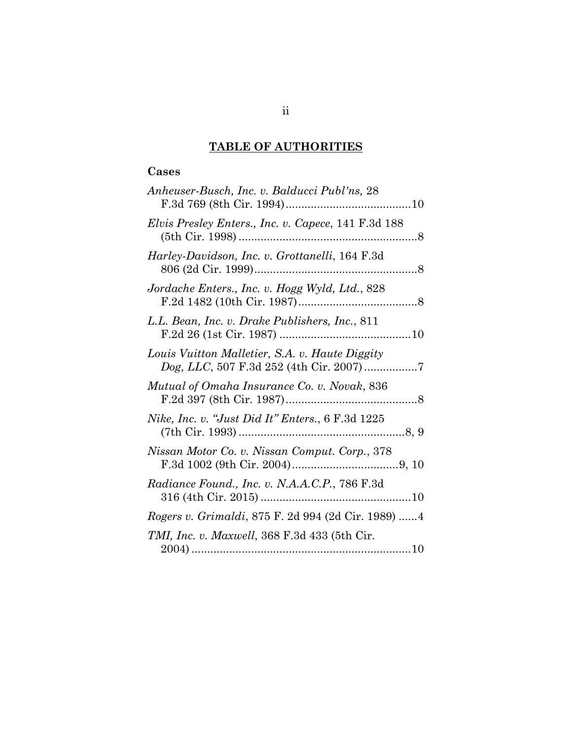# **TABLE OF AUTHORITIES**

# <span id="page-2-0"></span>**Cases**

| Anheuser-Busch, Inc. v. Balducci Publ'ns, 28         |
|------------------------------------------------------|
| Elvis Presley Enters., Inc. v. Capece, 141 F.3d 188  |
| Harley-Davidson, Inc. v. Grottanelli, 164 F.3d       |
| Jordache Enters., Inc. v. Hogg Wyld, Ltd., 828       |
| L.L. Bean, Inc. v. Drake Publishers, Inc., 811       |
| Louis Vuitton Malletier, S.A. v. Haute Diggity       |
| Mutual of Omaha Insurance Co. v. Novak, 836          |
| Nike, Inc. v. "Just Did It" Enters., 6 F.3d 1225     |
| Nissan Motor Co. v. Nissan Comput. Corp., 378        |
| <i>Radiance Found., Inc. v. N.A.A.C.P., 786 F.3d</i> |
| Rogers v. Grimaldi, 875 F. 2d 994 (2d Cir. 1989)  4  |
| <i>TMI, Inc. v. Maxwell, 368 F.3d 433 (5th Cir.</i>  |
|                                                      |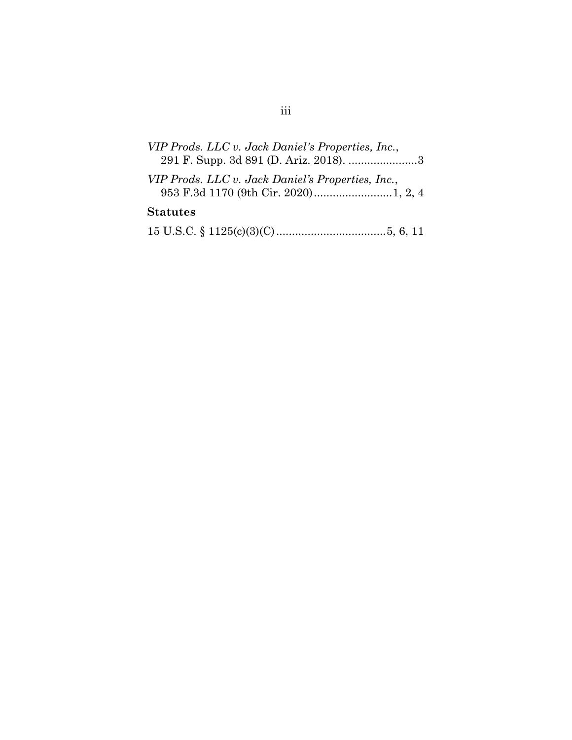| VIP Prods. LLC v. Jack Daniel's Properties, Inc.,<br>291 F. Supp. 3d 891 (D. Ariz. 2018). 3 |
|---------------------------------------------------------------------------------------------|
| VIP Prods. LLC v. Jack Daniel's Properties, Inc.,                                           |
| <b>Statutes</b>                                                                             |
|                                                                                             |

## iii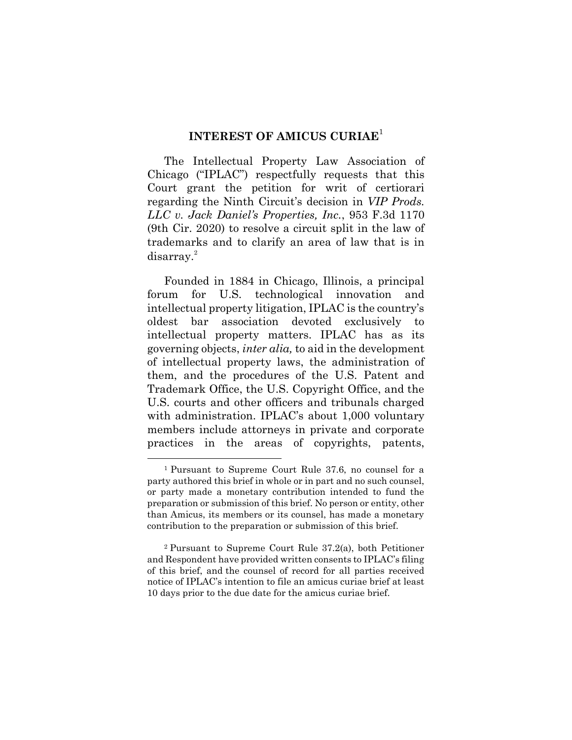### **INTEREST OF AMICUS CURIAE**<sup>1</sup>

<span id="page-4-0"></span>The Intellectual Property Law Association of Chicago ("IPLAC") respectfully requests that this Court grant the petition for writ of certiorari regarding the Ninth Circuit's decision in *VIP Prods. LLC v. Jack Daniel's Properties, Inc.*, 953 F.3d 1170 (9th Cir. 2020) to resolve a circuit split in the law of trademarks and to clarify an area of law that is in disarray.<sup>2</sup>

Founded in 1884 in Chicago, Illinois, a principal forum for U.S. technological innovation and intellectual property litigation, IPLAC is the country's oldest bar association devoted exclusively to intellectual property matters. IPLAC has as its governing objects, *inter alia,* to aid in the development of intellectual property laws, the administration of them, and the procedures of the U.S. Patent and Trademark Office, the U.S. Copyright Office, and the U.S. courts and other officers and tribunals charged with administration. IPLAC's about 1,000 voluntary members include attorneys in private and corporate practices in the areas of copyrights, patents,

<sup>1</sup> Pursuant to Supreme Court Rule 37.6, no counsel for a party authored this brief in whole or in part and no such counsel, or party made a monetary contribution intended to fund the preparation or submission of this brief. No person or entity, other than Amicus, its members or its counsel, has made a monetary contribution to the preparation or submission of this brief.

<sup>2</sup> Pursuant to Supreme Court Rule 37.2(a), both Petitioner and Respondent have provided written consents to IPLAC's filing of this brief, and the counsel of record for all parties received notice of IPLAC's intention to file an amicus curiae brief at least 10 days prior to the due date for the amicus curiae brief.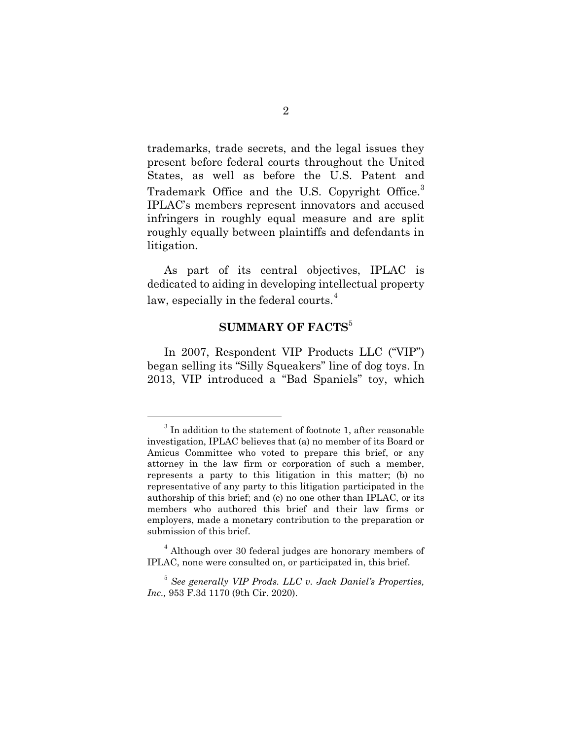trademarks, trade secrets, and the legal issues they present before federal courts throughout the United States, as well as before the U.S. Patent and Trademark Office and the U.S. Copyright Office.<sup>3</sup> IPLAC's members represent innovators and accused infringers in roughly equal measure and are split roughly equally between plaintiffs and defendants in litigation.

As part of its central objectives, IPLAC is dedicated to aiding in developing intellectual property law, especially in the federal courts.<sup>4</sup>

### **SUMMARY OF FACTS<sup>5</sup>**

<span id="page-5-0"></span>In 2007, Respondent VIP Products LLC ("VIP") began selling its "Silly Squeakers" line of dog toys. In 2013, VIP introduced a "Bad Spaniels" toy, which

 $3$  In addition to the statement of footnote 1, after reasonable investigation, IPLAC believes that (a) no member of its Board or Amicus Committee who voted to prepare this brief, or any attorney in the law firm or corporation of such a member, represents a party to this litigation in this matter; (b) no representative of any party to this litigation participated in the authorship of this brief; and (c) no one other than IPLAC, or its members who authored this brief and their law firms or employers, made a monetary contribution to the preparation or submission of this brief.

<sup>&</sup>lt;sup>4</sup> Although over 30 federal judges are honorary members of IPLAC, none were consulted on, or participated in, this brief.

<sup>5</sup> *See generally VIP Prods. LLC v. Jack Daniel's Properties, Inc.,* 953 F.3d 1170 (9th Cir. 2020).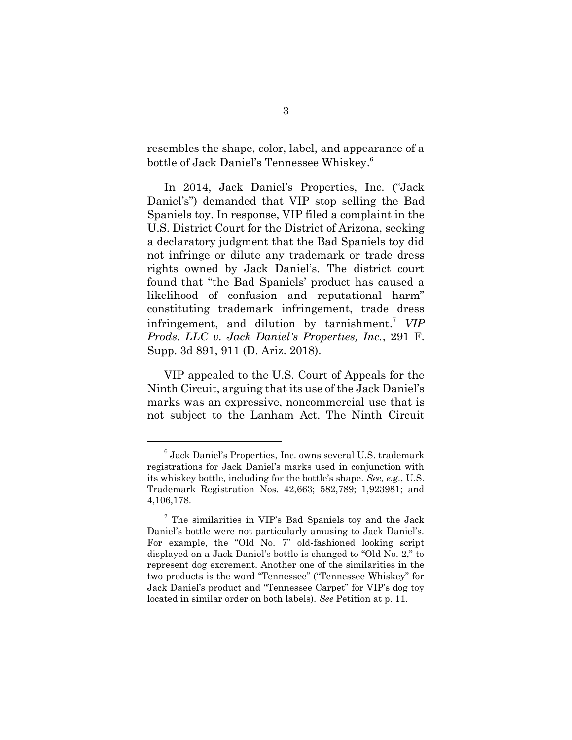resembles the shape, color, label, and appearance of a bottle of Jack Daniel's Tennessee Whiskey. 6

In 2014, Jack Daniel's Properties, Inc. ("Jack Daniel's") demanded that VIP stop selling the Bad Spaniels toy. In response, VIP filed a complaint in the U.S. District Court for the District of Arizona, seeking a declaratory judgment that the Bad Spaniels toy did not infringe or dilute any trademark or trade dress rights owned by Jack Daniel's. The district court found that "the Bad Spaniels' product has caused a likelihood of confusion and reputational harm" constituting trademark infringement, trade dress infringement, and dilution by tarnishment.<sup>7</sup> VIP *Prods. LLC v. Jack Daniel's Properties, Inc.*, 291 F. Supp. 3d 891, 911 (D. Ariz. 2018).

VIP appealed to the U.S. Court of Appeals for the Ninth Circuit, arguing that its use of the Jack Daniel's marks was an expressive, noncommercial use that is not subject to the Lanham Act. The Ninth Circuit

<sup>6</sup> Jack Daniel's Properties, Inc. owns several U.S. trademark registrations for Jack Daniel's marks used in conjunction with its whiskey bottle, including for the bottle's shape. *See, e.g.*, U.S. Trademark Registration Nos. 42,663; 582,789; 1,923981; and 4,106,178.

<sup>7</sup> The similarities in VIP's Bad Spaniels toy and the Jack Daniel's bottle were not particularly amusing to Jack Daniel's. For example, the "Old No. 7" old-fashioned looking script displayed on a Jack Daniel's bottle is changed to "Old No. 2," to represent dog excrement. Another one of the similarities in the two products is the word "Tennessee" ("Tennessee Whiskey" for Jack Daniel's product and "Tennessee Carpet" for VIP's dog toy located in similar order on both labels). *See* Petition at p. 11.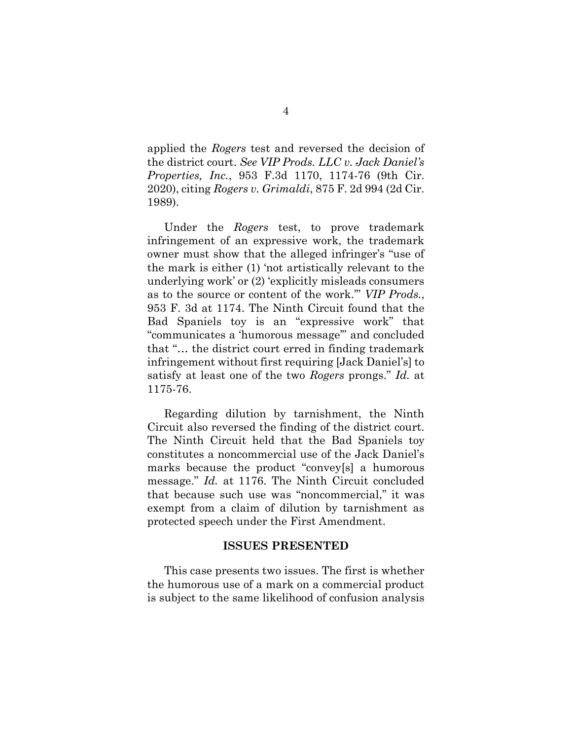applied the *Rogers* test and reversed the decision of the district court. *See VIP Prods. LLC v. Jack Daniel's Properties, Inc.*, 953 F.3d 1170, 1174-76 (9th Cir. 2020), citing *Rogers v. Grimaldi*, 875 F. 2d 994 (2d Cir. 1989).

Under the *Rogers* test, to prove trademark infringement of an expressive work, the trademark owner must show that the alleged infringer's "use of the mark is either (1) 'not artistically relevant to the underlying work' or (2) 'explicitly misleads consumers as to the source or content of the work.'" *VIP Prods.*, 953 F. 3d at 1174. The Ninth Circuit found that the Bad Spaniels toy is an "expressive work" that "communicates a 'humorous message'" and concluded that "… the district court erred in finding trademark infringement without first requiring [Jack Daniel's] to satisfy at least one of the two *Rogers* prongs." *Id.* at 1175-76.

Regarding dilution by tarnishment, the Ninth Circuit also reversed the finding of the district court. The Ninth Circuit held that the Bad Spaniels toy constitutes a noncommercial use of the Jack Daniel's marks because the product "convey[s] a humorous message." *Id.* at 1176. The Ninth Circuit concluded that because such use was "noncommercial," it was exempt from a claim of dilution by tarnishment as protected speech under the First Amendment.

#### **ISSUES PRESENTED**

<span id="page-7-0"></span>This case presents two issues. The first is whether the humorous use of a mark on a commercial product is subject to the same likelihood of confusion analysis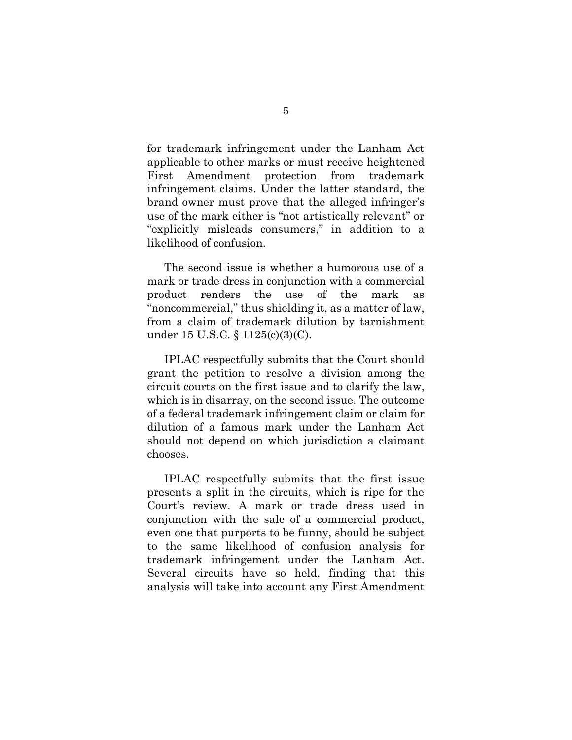for trademark infringement under the Lanham Act applicable to other marks or must receive heightened First Amendment protection from trademark infringement claims. Under the latter standard, the brand owner must prove that the alleged infringer's use of the mark either is "not artistically relevant" or "explicitly misleads consumers," in addition to a likelihood of confusion.

The second issue is whether a humorous use of a mark or trade dress in conjunction with a commercial product renders the use of the mark as "noncommercial," thus shielding it, as a matter of law, from a claim of trademark dilution by tarnishment under 15 U.S.C. § 1125(c)(3)(C).

IPLAC respectfully submits that the Court should grant the petition to resolve a division among the circuit courts on the first issue and to clarify the law, which is in disarray, on the second issue. The outcome of a federal trademark infringement claim or claim for dilution of a famous mark under the Lanham Act should not depend on which jurisdiction a claimant chooses.

IPLAC respectfully submits that the first issue presents a split in the circuits, which is ripe for the Court's review. A mark or trade dress used in conjunction with the sale of a commercial product, even one that purports to be funny, should be subject to the same likelihood of confusion analysis for trademark infringement under the Lanham Act. Several circuits have so held, finding that this analysis will take into account any First Amendment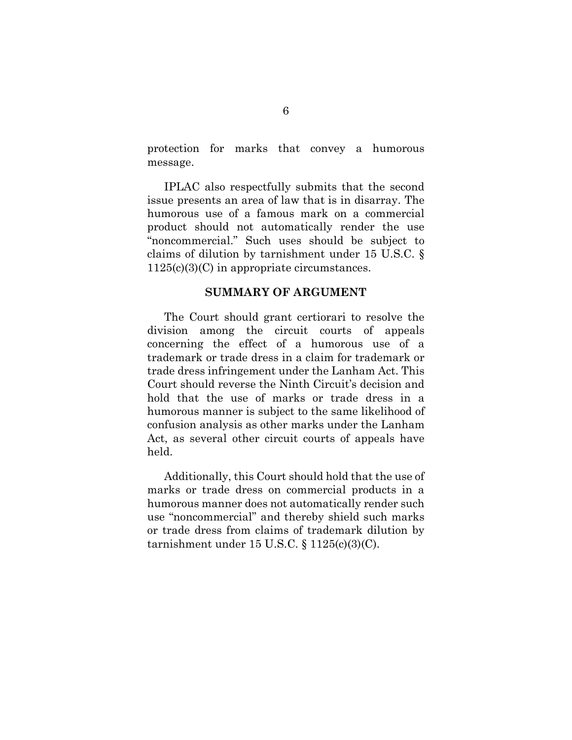protection for marks that convey a humorous message.

IPLAC also respectfully submits that the second issue presents an area of law that is in disarray. The humorous use of a famous mark on a commercial product should not automatically render the use "noncommercial." Such uses should be subject to claims of dilution by tarnishment under 15 U.S.C. § 1125(c)(3)(C) in appropriate circumstances.

#### **SUMMARY OF ARGUMENT**

<span id="page-9-0"></span>The Court should grant certiorari to resolve the division among the circuit courts of appeals concerning the effect of a humorous use of a trademark or trade dress in a claim for trademark or trade dress infringement under the Lanham Act. This Court should reverse the Ninth Circuit's decision and hold that the use of marks or trade dress in a humorous manner is subject to the same likelihood of confusion analysis as other marks under the Lanham Act, as several other circuit courts of appeals have held.

Additionally, this Court should hold that the use of marks or trade dress on commercial products in a humorous manner does not automatically render such use "noncommercial" and thereby shield such marks or trade dress from claims of trademark dilution by tarnishment under 15 U.S.C.  $\S 1125(c)(3)(C)$ .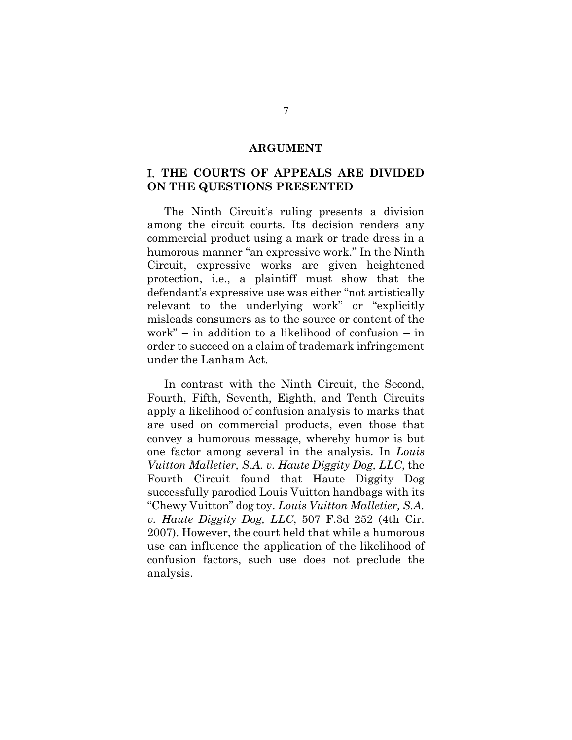#### **ARGUMENT**

### <span id="page-10-1"></span><span id="page-10-0"></span>I. **THE COURTS OF APPEALS ARE DIVIDED ON THE QUESTIONS PRESENTED**

The Ninth Circuit's ruling presents a division among the circuit courts. Its decision renders any commercial product using a mark or trade dress in a humorous manner "an expressive work." In the Ninth Circuit, expressive works are given heightened protection, i.e., a plaintiff must show that the defendant's expressive use was either "not artistically relevant to the underlying work" or "explicitly misleads consumers as to the source or content of the work" – in addition to a likelihood of confusion – in order to succeed on a claim of trademark infringement under the Lanham Act.

In contrast with the Ninth Circuit, the Second, Fourth, Fifth, Seventh, Eighth, and Tenth Circuits apply a likelihood of confusion analysis to marks that are used on commercial products, even those that convey a humorous message, whereby humor is but one factor among several in the analysis. In *Louis Vuitton Malletier, S.A. v. Haute Diggity Dog, LLC*, the Fourth Circuit found that Haute Diggity Dog successfully parodied Louis Vuitton handbags with its "Chewy Vuitton" dog toy. *Louis Vuitton Malletier, S.A. v. Haute Diggity Dog, LLC*, 507 F.3d 252 (4th Cir. 2007). However, the court held that while a humorous use can influence the application of the likelihood of confusion factors, such use does not preclude the analysis.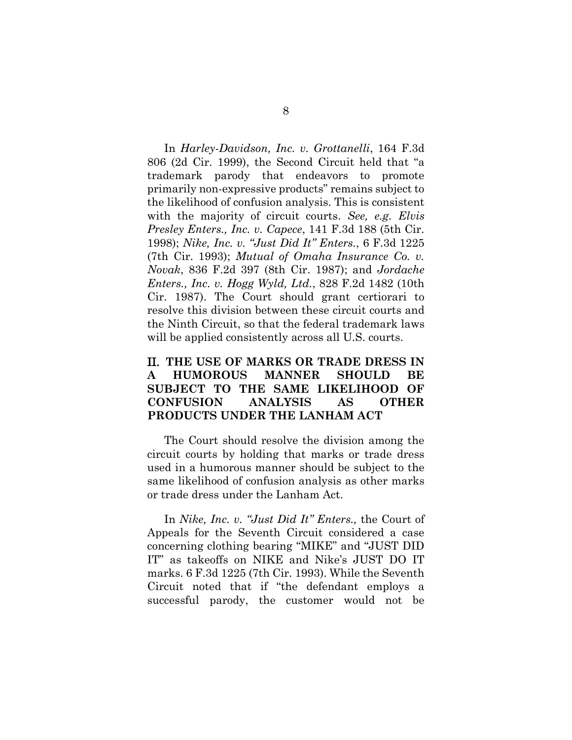In *Harley-Davidson, Inc. v. Grottanelli*, 164 F.3d 806 (2d Cir. 1999), the Second Circuit held that "a trademark parody that endeavors to promote primarily non-expressive products" remains subject to the likelihood of confusion analysis. This is consistent with the majority of circuit courts. *See, e.g. Elvis Presley Enters., Inc. v. Capece*, 141 F.3d 188 (5th Cir. 1998); *Nike, Inc. v. "Just Did It" Enters.*, 6 F.3d 1225 (7th Cir. 1993); *Mutual of Omaha Insurance Co. v. Novak*, 836 F.2d 397 (8th Cir. 1987); and *Jordache Enters., Inc. v. Hogg Wyld, Ltd.*, 828 F.2d 1482 (10th Cir. 1987). The Court should grant certiorari to resolve this division between these circuit courts and the Ninth Circuit, so that the federal trademark laws will be applied consistently across all U.S. courts.

### <span id="page-11-0"></span>II. **THE USE OF MARKS OR TRADE DRESS IN A HUMOROUS MANNER SHOULD BE SUBJECT TO THE SAME LIKELIHOOD OF CONFUSION ANALYSIS AS OTHER PRODUCTS UNDER THE LANHAM ACT**

The Court should resolve the division among the circuit courts by holding that marks or trade dress used in a humorous manner should be subject to the same likelihood of confusion analysis as other marks or trade dress under the Lanham Act.

In *Nike, Inc. v. "Just Did It" Enters.,* the Court of Appeals for the Seventh Circuit considered a case concerning clothing bearing "MIKE" and "JUST DID IT" as takeoffs on NIKE and Nike's JUST DO IT marks. 6 F.3d 1225 (7th Cir. 1993). While the Seventh Circuit noted that if "the defendant employs a successful parody, the customer would not be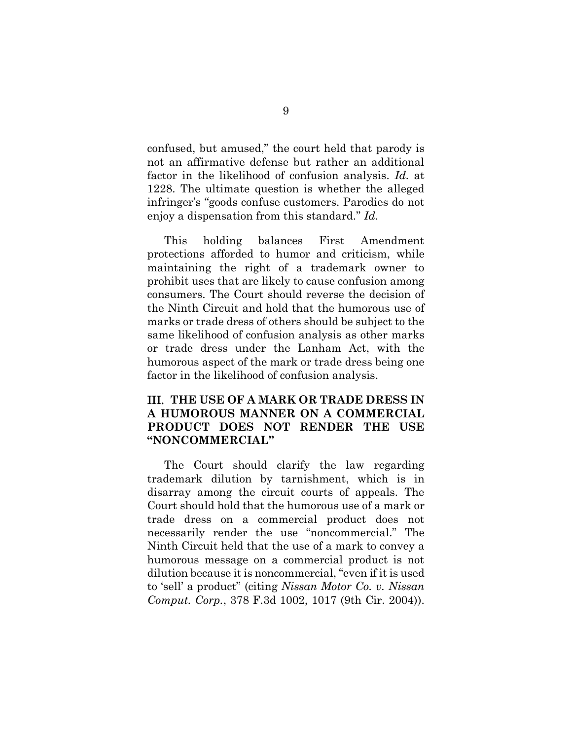confused, but amused," the court held that parody is not an affirmative defense but rather an additional factor in the likelihood of confusion analysis. *Id.* at 1228. The ultimate question is whether the alleged infringer's "goods confuse customers. Parodies do not enjoy a dispensation from this standard." *Id.*

This holding balances First Amendment protections afforded to humor and criticism, while maintaining the right of a trademark owner to prohibit uses that are likely to cause confusion among consumers. The Court should reverse the decision of the Ninth Circuit and hold that the humorous use of marks or trade dress of others should be subject to the same likelihood of confusion analysis as other marks or trade dress under the Lanham Act, with the humorous aspect of the mark or trade dress being one factor in the likelihood of confusion analysis.

### <span id="page-12-0"></span>III. **THE USE OF A MARK OR TRADE DRESS IN A HUMOROUS MANNER ON A COMMERCIAL PRODUCT DOES NOT RENDER THE USE "NONCOMMERCIAL"**

The Court should clarify the law regarding trademark dilution by tarnishment, which is in disarray among the circuit courts of appeals. The Court should hold that the humorous use of a mark or trade dress on a commercial product does not necessarily render the use "noncommercial." The Ninth Circuit held that the use of a mark to convey a humorous message on a commercial product is not dilution because it is noncommercial, "even if it is used to 'sell' a product" (citing *Nissan Motor Co. v. Nissan Comput. Corp.*, 378 F.3d 1002, 1017 (9th Cir. 2004)).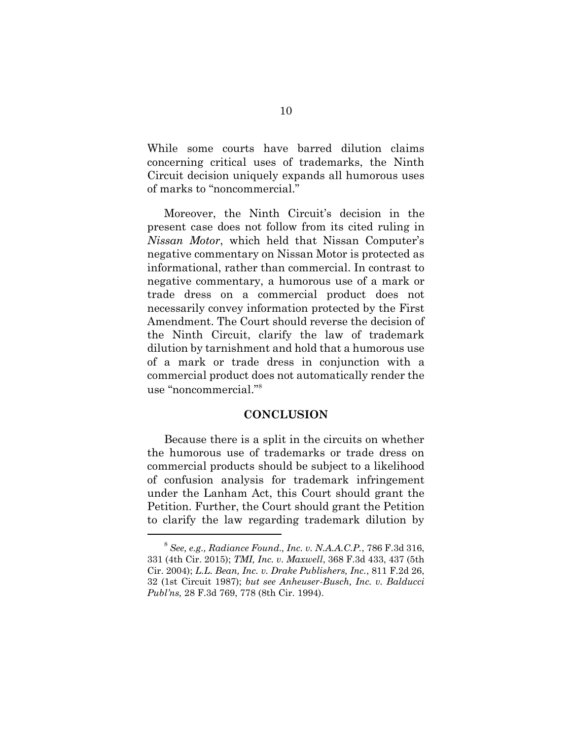While some courts have barred dilution claims concerning critical uses of trademarks, the Ninth Circuit decision uniquely expands all humorous uses of marks to "noncommercial."

Moreover, the Ninth Circuit's decision in the present case does not follow from its cited ruling in *Nissan Motor*, which held that Nissan Computer's negative commentary on Nissan Motor is protected as informational, rather than commercial. In contrast to negative commentary, a humorous use of a mark or trade dress on a commercial product does not necessarily convey information protected by the First Amendment. The Court should reverse the decision of the Ninth Circuit, clarify the law of trademark dilution by tarnishment and hold that a humorous use of a mark or trade dress in conjunction with a commercial product does not automatically render the use "noncommercial."<sup>8</sup>

#### **CONCLUSION**

<span id="page-13-0"></span>Because there is a split in the circuits on whether the humorous use of trademarks or trade dress on commercial products should be subject to a likelihood of confusion analysis for trademark infringement under the Lanham Act, this Court should grant the Petition. Further, the Court should grant the Petition to clarify the law regarding trademark dilution by

<sup>8</sup> *See, e.g., Radiance Found., Inc. v. N.A.A.C.P.*, 786 F.3d 316, 331 (4th Cir. 2015); *TMI, Inc. v. Maxwell*, 368 F.3d 433, 437 (5th Cir. 2004); *L.L. Bean, Inc. v. Drake Publishers, Inc.*, 811 F.2d 26, 32 (1st Circuit 1987); *but see Anheuser-Busch, Inc. v. Balducci Publ'ns,* 28 F.3d 769, 778 (8th Cir. 1994).